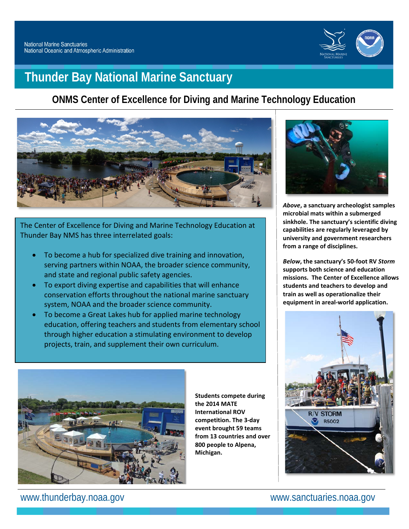

# **Thunder Bay National Marine Sanctuary**

# **ONMS Center of Excellence for Diving and Marine Technology Education**



The Center of Excellence for Diving and Marine Technology Education at Thunder Bay NMS has three interrelated goals:

- To become a hub for specialized dive training and innovation, serving partners within NOAA, the broader science community, and state and regional public safety agencies.
- To export diving expertise and capabilities that will enhance conservation efforts throughout the national marine sanctuary system, NOAA and the broader science community.
- To become a Great Lakes hub for applied marine technology education, offering teachers and students from elementary school through higher education a stimulating environment to develop projects, train, and supplement their own curriculum.



*Above***, a sanctuary archeologist samples microbial mats within a submerged sinkhole. The sanctuary's scientific diving capabilities are regularly leveraged by university and government researchers from a range of disciplines.**

*Below***, the sanctuary's 50-foot RV** *Storm* **supports both science and education missions. The Center of Excellence allows students and teachers to develop and train as well as operationalize their equipment in areal-world application.**





**Students compete during the 2014 MATE International ROV competition. The 3-day event brought 59 teams from 13 countries and over 800 people to Alpena, Michigan.**

www.thunderbay.noaa.gov www.sanctuaries.noaa.gov